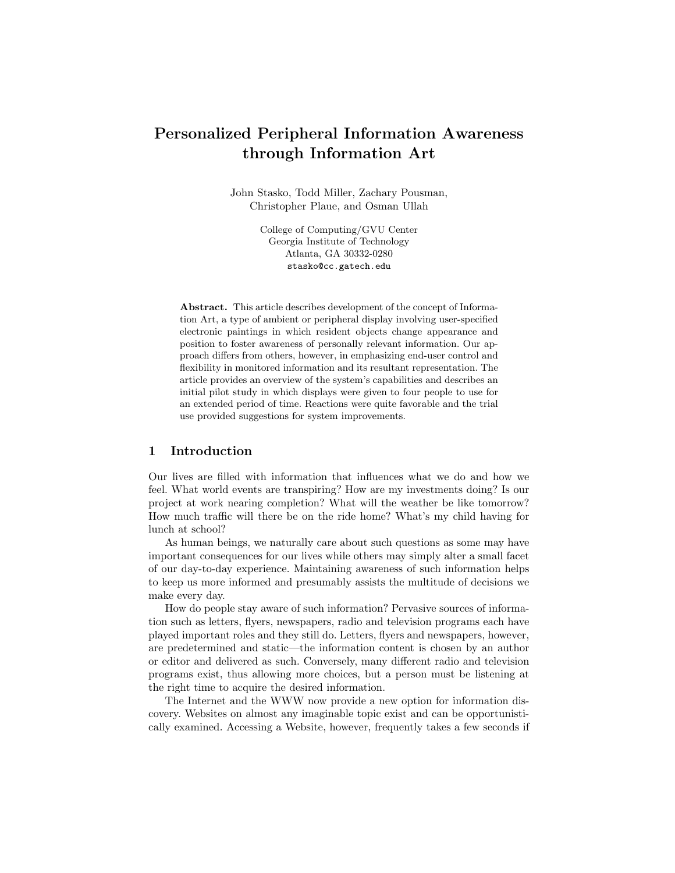# Personalized Peripheral Information Awareness through Information Art

John Stasko, Todd Miller, Zachary Pousman, Christopher Plaue, and Osman Ullah

> College of Computing/GVU Center Georgia Institute of Technology Atlanta, GA 30332-0280 stasko@cc.gatech.edu

Abstract. This article describes development of the concept of Information Art, a type of ambient or peripheral display involving user-specified electronic paintings in which resident objects change appearance and position to foster awareness of personally relevant information. Our approach differs from others, however, in emphasizing end-user control and flexibility in monitored information and its resultant representation. The article provides an overview of the system's capabilities and describes an initial pilot study in which displays were given to four people to use for an extended period of time. Reactions were quite favorable and the trial use provided suggestions for system improvements.

# 1 Introduction

Our lives are filled with information that influences what we do and how we feel. What world events are transpiring? How are my investments doing? Is our project at work nearing completion? What will the weather be like tomorrow? How much traffic will there be on the ride home? What's my child having for lunch at school?

As human beings, we naturally care about such questions as some may have important consequences for our lives while others may simply alter a small facet of our day-to-day experience. Maintaining awareness of such information helps to keep us more informed and presumably assists the multitude of decisions we make every day.

How do people stay aware of such information? Pervasive sources of information such as letters, flyers, newspapers, radio and television programs each have played important roles and they still do. Letters, flyers and newspapers, however, are predetermined and static—the information content is chosen by an author or editor and delivered as such. Conversely, many different radio and television programs exist, thus allowing more choices, but a person must be listening at the right time to acquire the desired information.

The Internet and the WWW now provide a new option for information discovery. Websites on almost any imaginable topic exist and can be opportunistically examined. Accessing a Website, however, frequently takes a few seconds if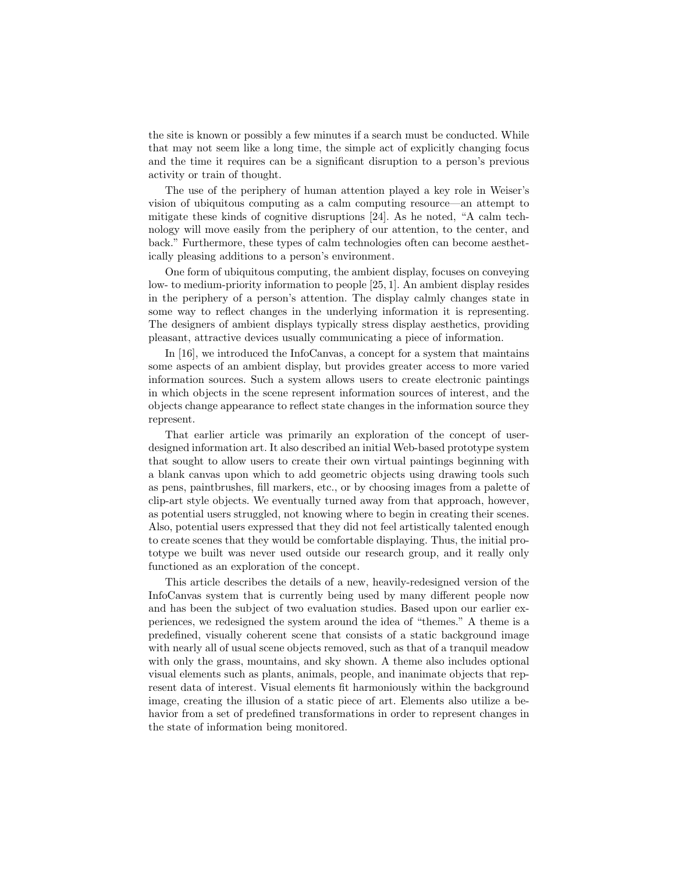the site is known or possibly a few minutes if a search must be conducted. While that may not seem like a long time, the simple act of explicitly changing focus and the time it requires can be a significant disruption to a person's previous activity or train of thought.

The use of the periphery of human attention played a key role in Weiser's vision of ubiquitous computing as a calm computing resource—an attempt to mitigate these kinds of cognitive disruptions [24]. As he noted, "A calm technology will move easily from the periphery of our attention, to the center, and back." Furthermore, these types of calm technologies often can become aesthetically pleasing additions to a person's environment.

One form of ubiquitous computing, the ambient display, focuses on conveying low- to medium-priority information to people [25, 1]. An ambient display resides in the periphery of a person's attention. The display calmly changes state in some way to reflect changes in the underlying information it is representing. The designers of ambient displays typically stress display aesthetics, providing pleasant, attractive devices usually communicating a piece of information.

In [16], we introduced the InfoCanvas, a concept for a system that maintains some aspects of an ambient display, but provides greater access to more varied information sources. Such a system allows users to create electronic paintings in which objects in the scene represent information sources of interest, and the objects change appearance to reflect state changes in the information source they represent.

That earlier article was primarily an exploration of the concept of userdesigned information art. It also described an initial Web-based prototype system that sought to allow users to create their own virtual paintings beginning with a blank canvas upon which to add geometric objects using drawing tools such as pens, paintbrushes, fill markers, etc., or by choosing images from a palette of clip-art style objects. We eventually turned away from that approach, however, as potential users struggled, not knowing where to begin in creating their scenes. Also, potential users expressed that they did not feel artistically talented enough to create scenes that they would be comfortable displaying. Thus, the initial prototype we built was never used outside our research group, and it really only functioned as an exploration of the concept.

This article describes the details of a new, heavily-redesigned version of the InfoCanvas system that is currently being used by many different people now and has been the subject of two evaluation studies. Based upon our earlier experiences, we redesigned the system around the idea of "themes." A theme is a predefined, visually coherent scene that consists of a static background image with nearly all of usual scene objects removed, such as that of a tranquil meadow with only the grass, mountains, and sky shown. A theme also includes optional visual elements such as plants, animals, people, and inanimate objects that represent data of interest. Visual elements fit harmoniously within the background image, creating the illusion of a static piece of art. Elements also utilize a behavior from a set of predefined transformations in order to represent changes in the state of information being monitored.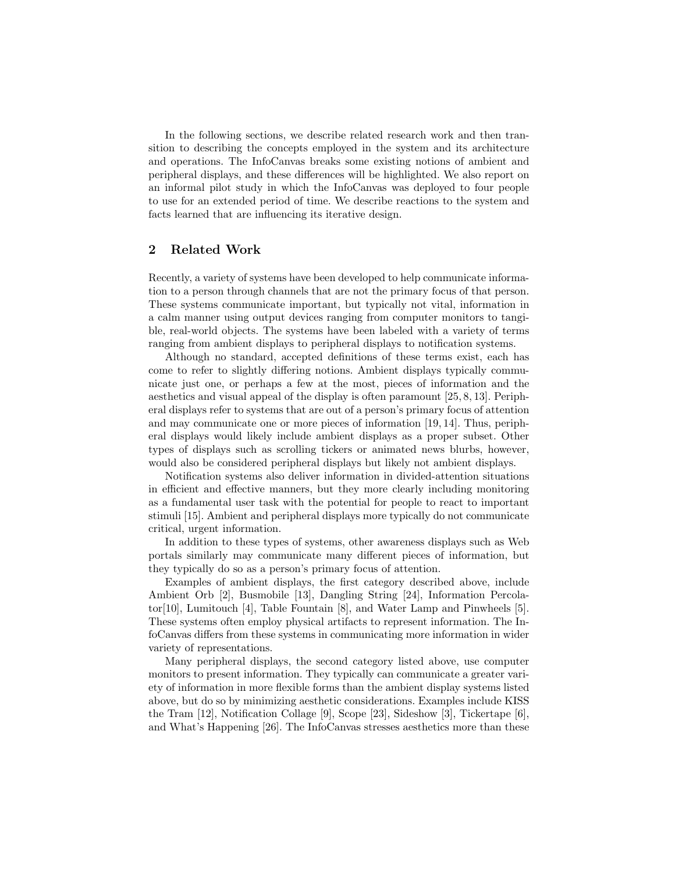In the following sections, we describe related research work and then transition to describing the concepts employed in the system and its architecture and operations. The InfoCanvas breaks some existing notions of ambient and peripheral displays, and these differences will be highlighted. We also report on an informal pilot study in which the InfoCanvas was deployed to four people to use for an extended period of time. We describe reactions to the system and facts learned that are influencing its iterative design.

# 2 Related Work

Recently, a variety of systems have been developed to help communicate information to a person through channels that are not the primary focus of that person. These systems communicate important, but typically not vital, information in a calm manner using output devices ranging from computer monitors to tangible, real-world objects. The systems have been labeled with a variety of terms ranging from ambient displays to peripheral displays to notification systems.

Although no standard, accepted definitions of these terms exist, each has come to refer to slightly differing notions. Ambient displays typically communicate just one, or perhaps a few at the most, pieces of information and the aesthetics and visual appeal of the display is often paramount [25, 8, 13]. Peripheral displays refer to systems that are out of a person's primary focus of attention and may communicate one or more pieces of information [19, 14]. Thus, peripheral displays would likely include ambient displays as a proper subset. Other types of displays such as scrolling tickers or animated news blurbs, however, would also be considered peripheral displays but likely not ambient displays.

Notification systems also deliver information in divided-attention situations in efficient and effective manners, but they more clearly including monitoring as a fundamental user task with the potential for people to react to important stimuli [15]. Ambient and peripheral displays more typically do not communicate critical, urgent information.

In addition to these types of systems, other awareness displays such as Web portals similarly may communicate many different pieces of information, but they typically do so as a person's primary focus of attention.

Examples of ambient displays, the first category described above, include Ambient Orb [2], Busmobile [13], Dangling String [24], Information Percolator[10], Lumitouch [4], Table Fountain [8], and Water Lamp and Pinwheels [5]. These systems often employ physical artifacts to represent information. The InfoCanvas differs from these systems in communicating more information in wider variety of representations.

Many peripheral displays, the second category listed above, use computer monitors to present information. They typically can communicate a greater variety of information in more flexible forms than the ambient display systems listed above, but do so by minimizing aesthetic considerations. Examples include KISS the Tram [12], Notification Collage [9], Scope [23], Sideshow [3], Tickertape [6], and What's Happening [26]. The InfoCanvas stresses aesthetics more than these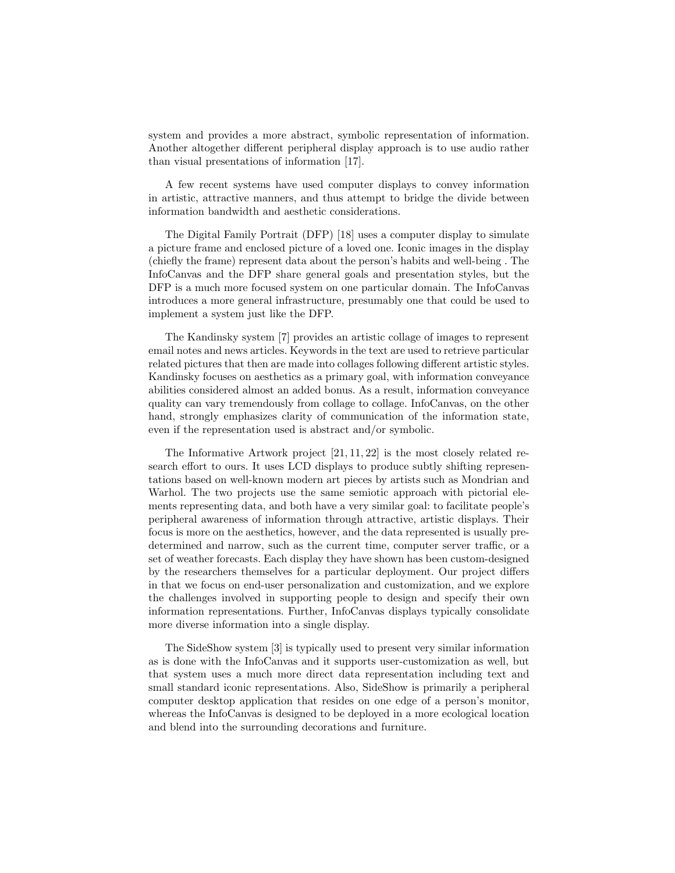system and provides a more abstract, symbolic representation of information. Another altogether different peripheral display approach is to use audio rather than visual presentations of information [17].

A few recent systems have used computer displays to convey information in artistic, attractive manners, and thus attempt to bridge the divide between information bandwidth and aesthetic considerations.

The Digital Family Portrait (DFP) [18] uses a computer display to simulate a picture frame and enclosed picture of a loved one. Iconic images in the display (chiefly the frame) represent data about the person's habits and well-being . The InfoCanvas and the DFP share general goals and presentation styles, but the DFP is a much more focused system on one particular domain. The InfoCanvas introduces a more general infrastructure, presumably one that could be used to implement a system just like the DFP.

The Kandinsky system [7] provides an artistic collage of images to represent email notes and news articles. Keywords in the text are used to retrieve particular related pictures that then are made into collages following different artistic styles. Kandinsky focuses on aesthetics as a primary goal, with information conveyance abilities considered almost an added bonus. As a result, information conveyance quality can vary tremendously from collage to collage. InfoCanvas, on the other hand, strongly emphasizes clarity of communication of the information state, even if the representation used is abstract and/or symbolic.

The Informative Artwork project [21, 11, 22] is the most closely related research effort to ours. It uses LCD displays to produce subtly shifting representations based on well-known modern art pieces by artists such as Mondrian and Warhol. The two projects use the same semiotic approach with pictorial elements representing data, and both have a very similar goal: to facilitate people's peripheral awareness of information through attractive, artistic displays. Their focus is more on the aesthetics, however, and the data represented is usually predetermined and narrow, such as the current time, computer server traffic, or a set of weather forecasts. Each display they have shown has been custom-designed by the researchers themselves for a particular deployment. Our project differs in that we focus on end-user personalization and customization, and we explore the challenges involved in supporting people to design and specify their own information representations. Further, InfoCanvas displays typically consolidate more diverse information into a single display.

The SideShow system [3] is typically used to present very similar information as is done with the InfoCanvas and it supports user-customization as well, but that system uses a much more direct data representation including text and small standard iconic representations. Also, SideShow is primarily a peripheral computer desktop application that resides on one edge of a person's monitor, whereas the InfoCanvas is designed to be deployed in a more ecological location and blend into the surrounding decorations and furniture.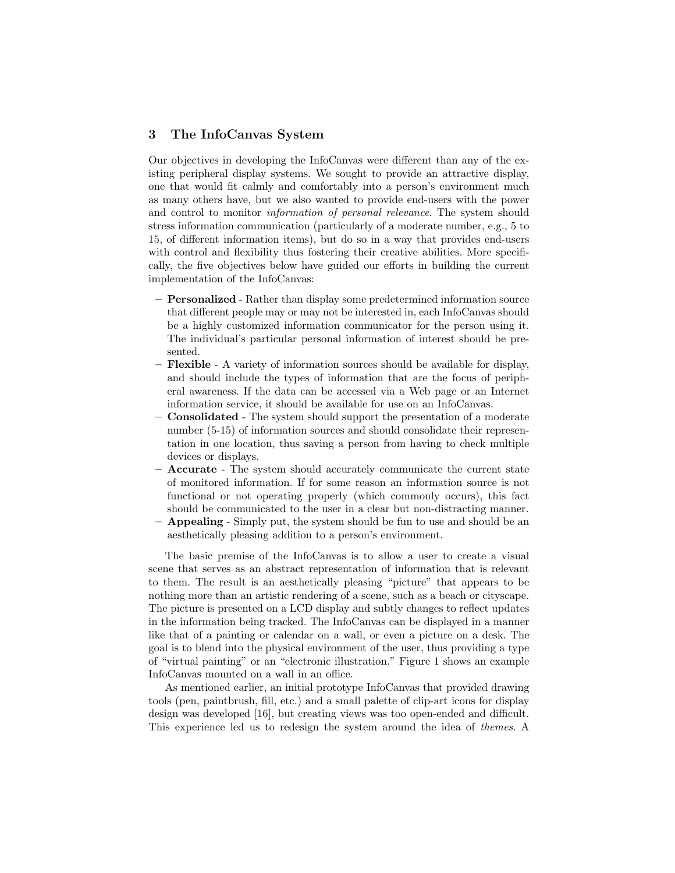# 3 The InfoCanvas System

Our objectives in developing the InfoCanvas were different than any of the existing peripheral display systems. We sought to provide an attractive display, one that would fit calmly and comfortably into a person's environment much as many others have, but we also wanted to provide end-users with the power and control to monitor information of personal relevance. The system should stress information communication (particularly of a moderate number, e.g., 5 to 15, of different information items), but do so in a way that provides end-users with control and flexibility thus fostering their creative abilities. More specifically, the five objectives below have guided our efforts in building the current implementation of the InfoCanvas:

- Personalized Rather than display some predetermined information source that different people may or may not be interested in, each InfoCanvas should be a highly customized information communicator for the person using it. The individual's particular personal information of interest should be presented.
- Flexible A variety of information sources should be available for display, and should include the types of information that are the focus of peripheral awareness. If the data can be accessed via a Web page or an Internet information service, it should be available for use on an InfoCanvas.
- Consolidated The system should support the presentation of a moderate number (5-15) of information sources and should consolidate their representation in one location, thus saving a person from having to check multiple devices or displays.
- Accurate The system should accurately communicate the current state of monitored information. If for some reason an information source is not functional or not operating properly (which commonly occurs), this fact should be communicated to the user in a clear but non-distracting manner.
- Appealing Simply put, the system should be fun to use and should be an aesthetically pleasing addition to a person's environment.

The basic premise of the InfoCanvas is to allow a user to create a visual scene that serves as an abstract representation of information that is relevant to them. The result is an aesthetically pleasing "picture" that appears to be nothing more than an artistic rendering of a scene, such as a beach or cityscape. The picture is presented on a LCD display and subtly changes to reflect updates in the information being tracked. The InfoCanvas can be displayed in a manner like that of a painting or calendar on a wall, or even a picture on a desk. The goal is to blend into the physical environment of the user, thus providing a type of "virtual painting" or an "electronic illustration." Figure 1 shows an example InfoCanvas mounted on a wall in an office.

As mentioned earlier, an initial prototype InfoCanvas that provided drawing tools (pen, paintbrush, fill, etc.) and a small palette of clip-art icons for display design was developed [16], but creating views was too open-ended and difficult. This experience led us to redesign the system around the idea of themes. A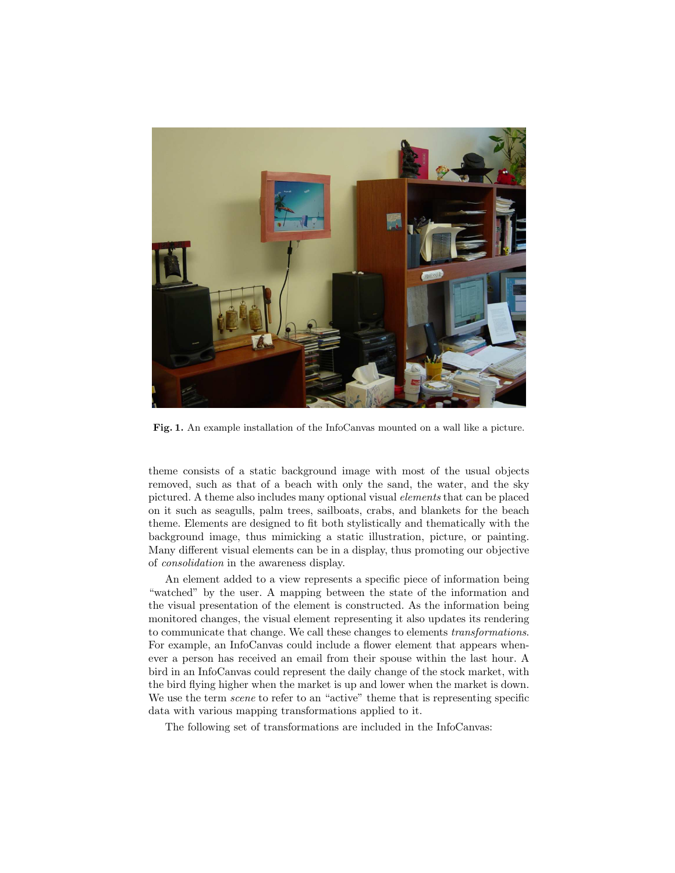

Fig. 1. An example installation of the InfoCanvas mounted on a wall like a picture.

theme consists of a static background image with most of the usual objects removed, such as that of a beach with only the sand, the water, and the sky pictured. A theme also includes many optional visual elements that can be placed on it such as seagulls, palm trees, sailboats, crabs, and blankets for the beach theme. Elements are designed to fit both stylistically and thematically with the background image, thus mimicking a static illustration, picture, or painting. Many different visual elements can be in a display, thus promoting our objective of consolidation in the awareness display.

An element added to a view represents a specific piece of information being "watched" by the user. A mapping between the state of the information and the visual presentation of the element is constructed. As the information being monitored changes, the visual element representing it also updates its rendering to communicate that change. We call these changes to elements transformations. For example, an InfoCanvas could include a flower element that appears whenever a person has received an email from their spouse within the last hour. A bird in an InfoCanvas could represent the daily change of the stock market, with the bird flying higher when the market is up and lower when the market is down. We use the term *scene* to refer to an "active" theme that is representing specific data with various mapping transformations applied to it.

The following set of transformations are included in the InfoCanvas: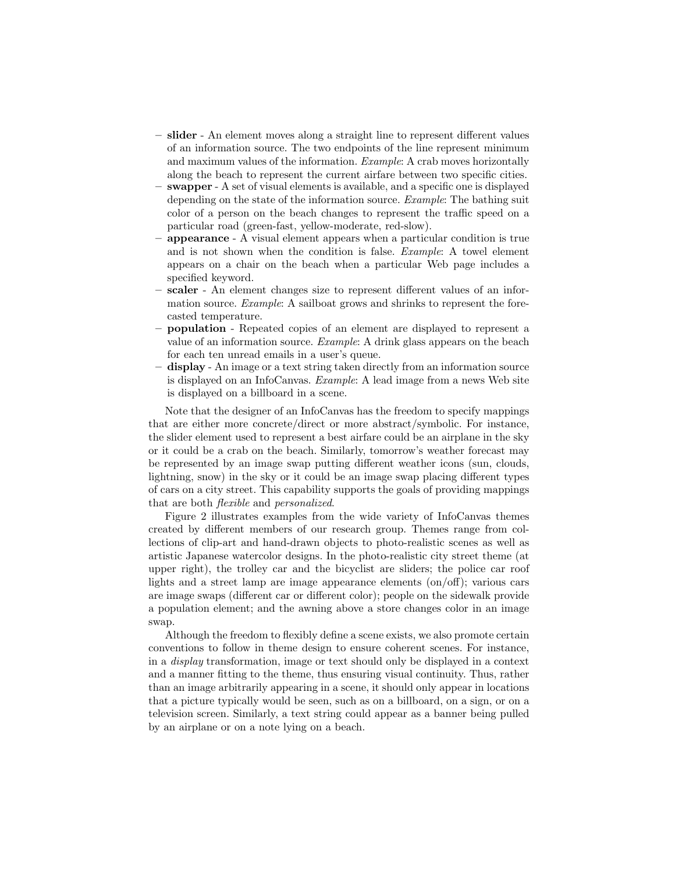- slider An element moves along a straight line to represent different values of an information source. The two endpoints of the line represent minimum and maximum values of the information. Example: A crab moves horizontally along the beach to represent the current airfare between two specific cities.
- swapper A set of visual elements is available, and a specific one is displayed depending on the state of the information source. Example: The bathing suit color of a person on the beach changes to represent the traffic speed on a particular road (green-fast, yellow-moderate, red-slow).
- appearance A visual element appears when a particular condition is true and is not shown when the condition is false. Example: A towel element appears on a chair on the beach when a particular Web page includes a specified keyword.
- scaler An element changes size to represent different values of an information source. Example: A sailboat grows and shrinks to represent the forecasted temperature.
- population Repeated copies of an element are displayed to represent a value of an information source. Example: A drink glass appears on the beach for each ten unread emails in a user's queue.
- display An image or a text string taken directly from an information source is displayed on an InfoCanvas. Example: A lead image from a news Web site is displayed on a billboard in a scene.

Note that the designer of an InfoCanvas has the freedom to specify mappings that are either more concrete/direct or more abstract/symbolic. For instance, the slider element used to represent a best airfare could be an airplane in the sky or it could be a crab on the beach. Similarly, tomorrow's weather forecast may be represented by an image swap putting different weather icons (sun, clouds, lightning, snow) in the sky or it could be an image swap placing different types of cars on a city street. This capability supports the goals of providing mappings that are both flexible and personalized.

Figure 2 illustrates examples from the wide variety of InfoCanvas themes created by different members of our research group. Themes range from collections of clip-art and hand-drawn objects to photo-realistic scenes as well as artistic Japanese watercolor designs. In the photo-realistic city street theme (at upper right), the trolley car and the bicyclist are sliders; the police car roof lights and a street lamp are image appearance elements (on/off); various cars are image swaps (different car or different color); people on the sidewalk provide a population element; and the awning above a store changes color in an image swap.

Although the freedom to flexibly define a scene exists, we also promote certain conventions to follow in theme design to ensure coherent scenes. For instance, in a display transformation, image or text should only be displayed in a context and a manner fitting to the theme, thus ensuring visual continuity. Thus, rather than an image arbitrarily appearing in a scene, it should only appear in locations that a picture typically would be seen, such as on a billboard, on a sign, or on a television screen. Similarly, a text string could appear as a banner being pulled by an airplane or on a note lying on a beach.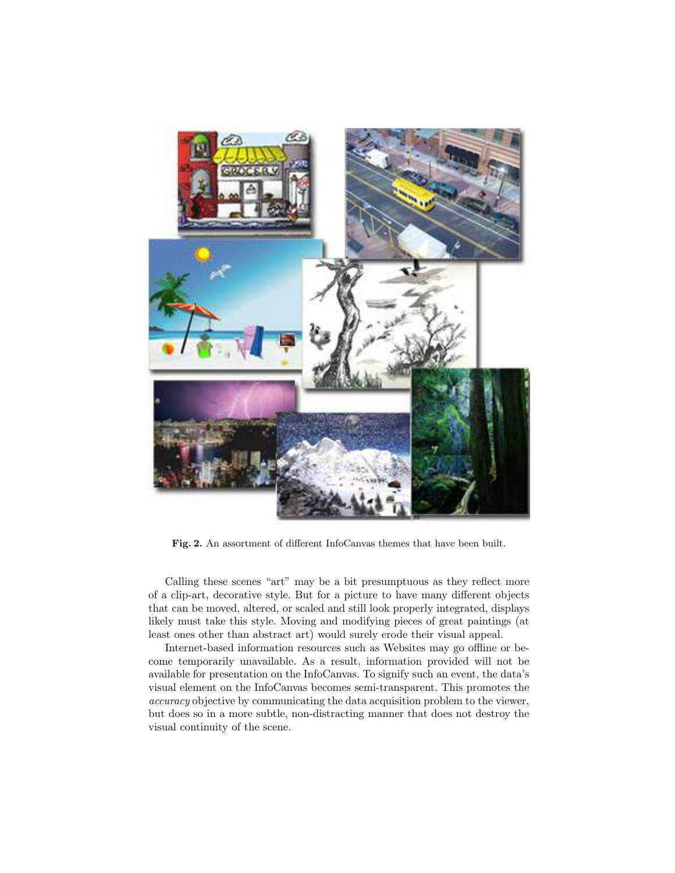

Fig. 2. An assortment of different InfoCanvas themes that have been built.

Calling these scenes "art" may be a bit presumptuous as they reflect more of a clip-art, decorative style. But for a picture to have many different objects that can be moved, altered, or scaled and still look properly integrated, displays likely must take this style. Moving and modifying pieces of great paintings (at least ones other than abstract art) would surely erode their visual appeal.

Internet-based information resources such as Websites may go offline or become temporarily unavailable. As a result, information provided will not be available for presentation on the InfoCanvas. To signify such an event, the data's visual element on the InfoCanvas becomes semi-transparent. This promotes the accuracy objective by communicating the data acquisition problem to the viewer, but does so in a more subtle, non-distracting manner that does not destroy the visual continuity of the scene.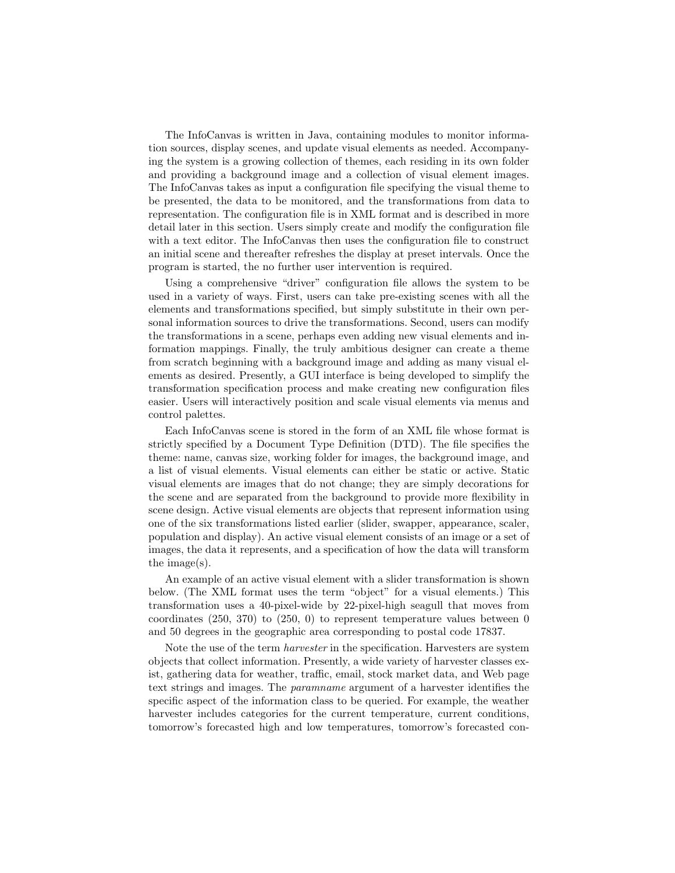The InfoCanvas is written in Java, containing modules to monitor information sources, display scenes, and update visual elements as needed. Accompanying the system is a growing collection of themes, each residing in its own folder and providing a background image and a collection of visual element images. The InfoCanvas takes as input a configuration file specifying the visual theme to be presented, the data to be monitored, and the transformations from data to representation. The configuration file is in XML format and is described in more detail later in this section. Users simply create and modify the configuration file with a text editor. The InfoCanvas then uses the configuration file to construct an initial scene and thereafter refreshes the display at preset intervals. Once the program is started, the no further user intervention is required.

Using a comprehensive "driver" configuration file allows the system to be used in a variety of ways. First, users can take pre-existing scenes with all the elements and transformations specified, but simply substitute in their own personal information sources to drive the transformations. Second, users can modify the transformations in a scene, perhaps even adding new visual elements and information mappings. Finally, the truly ambitious designer can create a theme from scratch beginning with a background image and adding as many visual elements as desired. Presently, a GUI interface is being developed to simplify the transformation specification process and make creating new configuration files easier. Users will interactively position and scale visual elements via menus and control palettes.

Each InfoCanvas scene is stored in the form of an XML file whose format is strictly specified by a Document Type Definition (DTD). The file specifies the theme: name, canvas size, working folder for images, the background image, and a list of visual elements. Visual elements can either be static or active. Static visual elements are images that do not change; they are simply decorations for the scene and are separated from the background to provide more flexibility in scene design. Active visual elements are objects that represent information using one of the six transformations listed earlier (slider, swapper, appearance, scaler, population and display). An active visual element consists of an image or a set of images, the data it represents, and a specification of how the data will transform the image(s).

An example of an active visual element with a slider transformation is shown below. (The XML format uses the term "object" for a visual elements.) This transformation uses a 40-pixel-wide by 22-pixel-high seagull that moves from coordinates (250, 370) to (250, 0) to represent temperature values between 0 and 50 degrees in the geographic area corresponding to postal code 17837.

Note the use of the term harvester in the specification. Harvesters are system objects that collect information. Presently, a wide variety of harvester classes exist, gathering data for weather, traffic, email, stock market data, and Web page text strings and images. The paramname argument of a harvester identifies the specific aspect of the information class to be queried. For example, the weather harvester includes categories for the current temperature, current conditions, tomorrow's forecasted high and low temperatures, tomorrow's forecasted con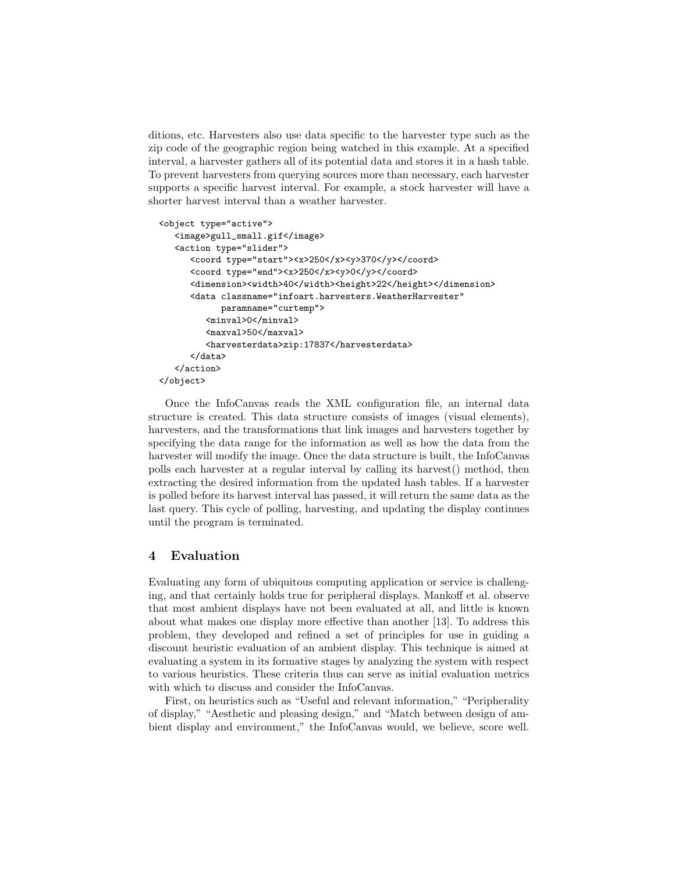ditions, etc. Harvesters also use data specific to the harvester type such as the zip code of the geographic region being watched in this example. At a specified interval, a harvester gathers all of its potential data and stores it in a hash table. To prevent harvesters from querying sources more than necessary, each harvester supports a specific harvest interval. For example, a stock harvester will have a shorter harvest interval than a weather harvester.

```
<object type="active">
   <image>gull_small.gif</image>
   <action type="slider">
      <coord type="start"><x>250</x><y>370</y></coord>
      <coord type="end"><x>250</x><y>0</y></coord>
      <dimension><width>40</width><height>22</height></dimension>
      <data classname="infoart.harvesters.WeatherHarvester"
            paramname="curtemp">
         <minval>0</minval>
         <maxval>50</maxval>
         <harvesterdata>zip:17837</harvesterdata>
      </data>
   </action>
</object>
```
Once the InfoCanvas reads the XML configuration file, an internal data structure is created. This data structure consists of images (visual elements), harvesters, and the transformations that link images and harvesters together by specifying the data range for the information as well as how the data from the harvester will modify the image. Once the data structure is built, the InfoCanvas polls each harvester at a regular interval by calling its harvest() method, then extracting the desired information from the updated hash tables. If a harvester is polled before its harvest interval has passed, it will return the same data as the last query. This cycle of polling, harvesting, and updating the display continues until the program is terminated.

# 4 Evaluation

Evaluating any form of ubiquitous computing application or service is challenging, and that certainly holds true for peripheral displays. Mankoff et al. observe that most ambient displays have not been evaluated at all, and little is known about what makes one display more effective than another [13]. To address this problem, they developed and refined a set of principles for use in guiding a discount heuristic evaluation of an ambient display. This technique is aimed at evaluating a system in its formative stages by analyzing the system with respect to various heuristics. These criteria thus can serve as initial evaluation metrics with which to discuss and consider the InfoCanvas.

First, on heuristics such as "Useful and relevant information," "Peripherality of display," "Aesthetic and pleasing design," and "Match between design of ambient display and environment," the InfoCanvas would, we believe, score well.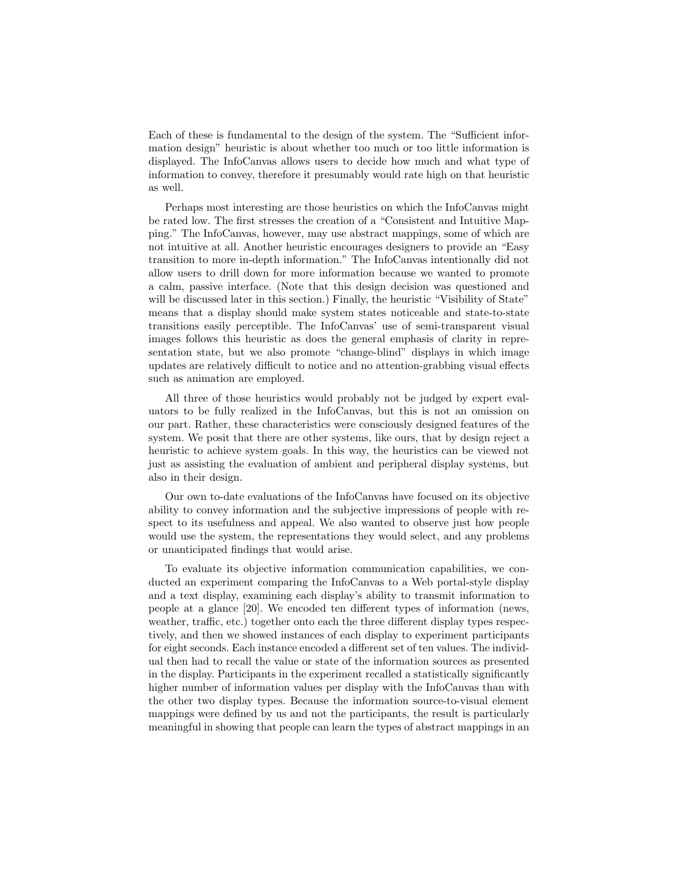Each of these is fundamental to the design of the system. The "Sufficient information design" heuristic is about whether too much or too little information is displayed. The InfoCanvas allows users to decide how much and what type of information to convey, therefore it presumably would rate high on that heuristic as well.

Perhaps most interesting are those heuristics on which the InfoCanvas might be rated low. The first stresses the creation of a "Consistent and Intuitive Mapping." The InfoCanvas, however, may use abstract mappings, some of which are not intuitive at all. Another heuristic encourages designers to provide an "Easy transition to more in-depth information." The InfoCanvas intentionally did not allow users to drill down for more information because we wanted to promote a calm, passive interface. (Note that this design decision was questioned and will be discussed later in this section.) Finally, the heuristic "Visibility of State" means that a display should make system states noticeable and state-to-state transitions easily perceptible. The InfoCanvas' use of semi-transparent visual images follows this heuristic as does the general emphasis of clarity in representation state, but we also promote "change-blind" displays in which image updates are relatively difficult to notice and no attention-grabbing visual effects such as animation are employed.

All three of those heuristics would probably not be judged by expert evaluators to be fully realized in the InfoCanvas, but this is not an omission on our part. Rather, these characteristics were consciously designed features of the system. We posit that there are other systems, like ours, that by design reject a heuristic to achieve system goals. In this way, the heuristics can be viewed not just as assisting the evaluation of ambient and peripheral display systems, but also in their design.

Our own to-date evaluations of the InfoCanvas have focused on its objective ability to convey information and the subjective impressions of people with respect to its usefulness and appeal. We also wanted to observe just how people would use the system, the representations they would select, and any problems or unanticipated findings that would arise.

To evaluate its objective information communication capabilities, we conducted an experiment comparing the InfoCanvas to a Web portal-style display and a text display, examining each display's ability to transmit information to people at a glance [20]. We encoded ten different types of information (news, weather, traffic, etc.) together onto each the three different display types respectively, and then we showed instances of each display to experiment participants for eight seconds. Each instance encoded a different set of ten values. The individual then had to recall the value or state of the information sources as presented in the display. Participants in the experiment recalled a statistically significantly higher number of information values per display with the InfoCanvas than with the other two display types. Because the information source-to-visual element mappings were defined by us and not the participants, the result is particularly meaningful in showing that people can learn the types of abstract mappings in an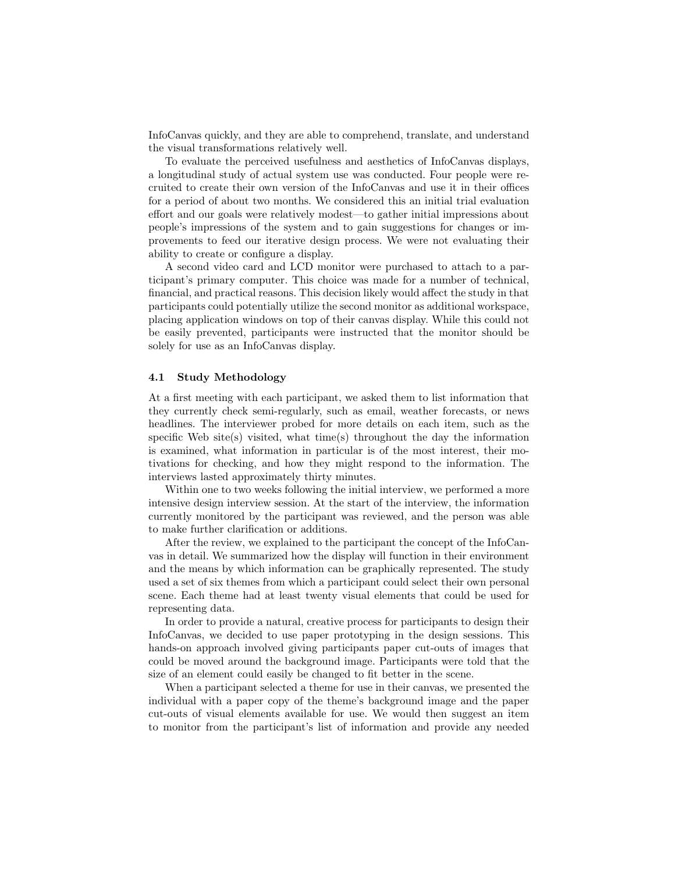InfoCanvas quickly, and they are able to comprehend, translate, and understand the visual transformations relatively well.

To evaluate the perceived usefulness and aesthetics of InfoCanvas displays, a longitudinal study of actual system use was conducted. Four people were recruited to create their own version of the InfoCanvas and use it in their offices for a period of about two months. We considered this an initial trial evaluation effort and our goals were relatively modest—to gather initial impressions about people's impressions of the system and to gain suggestions for changes or improvements to feed our iterative design process. We were not evaluating their ability to create or configure a display.

A second video card and LCD monitor were purchased to attach to a participant's primary computer. This choice was made for a number of technical, financial, and practical reasons. This decision likely would affect the study in that participants could potentially utilize the second monitor as additional workspace, placing application windows on top of their canvas display. While this could not be easily prevented, participants were instructed that the monitor should be solely for use as an InfoCanvas display.

#### 4.1 Study Methodology

At a first meeting with each participant, we asked them to list information that they currently check semi-regularly, such as email, weather forecasts, or news headlines. The interviewer probed for more details on each item, such as the specific Web site(s) visited, what time(s) throughout the day the information is examined, what information in particular is of the most interest, their motivations for checking, and how they might respond to the information. The interviews lasted approximately thirty minutes.

Within one to two weeks following the initial interview, we performed a more intensive design interview session. At the start of the interview, the information currently monitored by the participant was reviewed, and the person was able to make further clarification or additions.

After the review, we explained to the participant the concept of the InfoCanvas in detail. We summarized how the display will function in their environment and the means by which information can be graphically represented. The study used a set of six themes from which a participant could select their own personal scene. Each theme had at least twenty visual elements that could be used for representing data.

In order to provide a natural, creative process for participants to design their InfoCanvas, we decided to use paper prototyping in the design sessions. This hands-on approach involved giving participants paper cut-outs of images that could be moved around the background image. Participants were told that the size of an element could easily be changed to fit better in the scene.

When a participant selected a theme for use in their canvas, we presented the individual with a paper copy of the theme's background image and the paper cut-outs of visual elements available for use. We would then suggest an item to monitor from the participant's list of information and provide any needed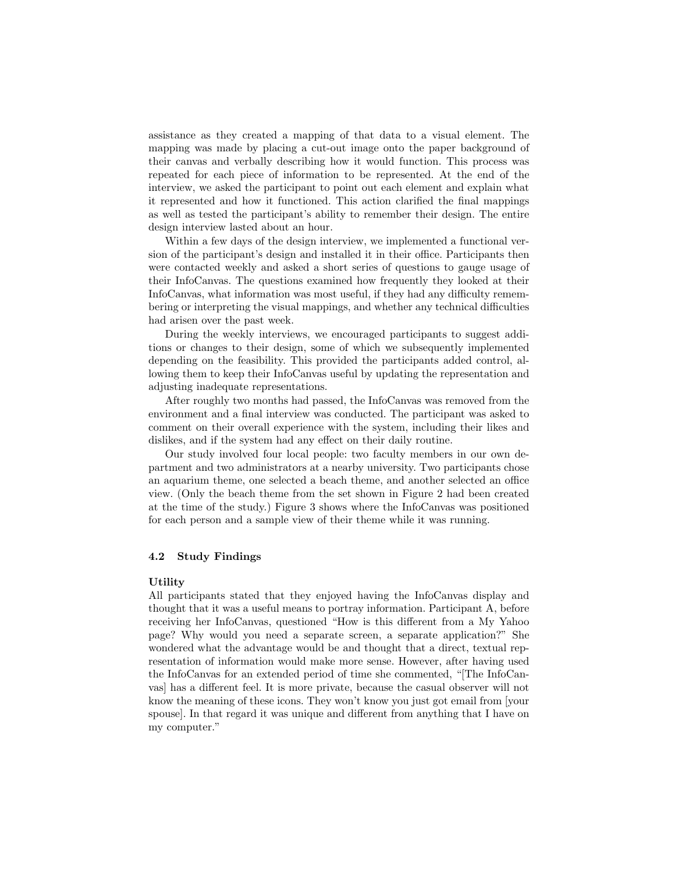assistance as they created a mapping of that data to a visual element. The mapping was made by placing a cut-out image onto the paper background of their canvas and verbally describing how it would function. This process was repeated for each piece of information to be represented. At the end of the interview, we asked the participant to point out each element and explain what it represented and how it functioned. This action clarified the final mappings as well as tested the participant's ability to remember their design. The entire design interview lasted about an hour.

Within a few days of the design interview, we implemented a functional version of the participant's design and installed it in their office. Participants then were contacted weekly and asked a short series of questions to gauge usage of their InfoCanvas. The questions examined how frequently they looked at their InfoCanvas, what information was most useful, if they had any difficulty remembering or interpreting the visual mappings, and whether any technical difficulties had arisen over the past week.

During the weekly interviews, we encouraged participants to suggest additions or changes to their design, some of which we subsequently implemented depending on the feasibility. This provided the participants added control, allowing them to keep their InfoCanvas useful by updating the representation and adjusting inadequate representations.

After roughly two months had passed, the InfoCanvas was removed from the environment and a final interview was conducted. The participant was asked to comment on their overall experience with the system, including their likes and dislikes, and if the system had any effect on their daily routine.

Our study involved four local people: two faculty members in our own department and two administrators at a nearby university. Two participants chose an aquarium theme, one selected a beach theme, and another selected an office view. (Only the beach theme from the set shown in Figure 2 had been created at the time of the study.) Figure 3 shows where the InfoCanvas was positioned for each person and a sample view of their theme while it was running.

### 4.2 Study Findings

#### **Utility**

All participants stated that they enjoyed having the InfoCanvas display and thought that it was a useful means to portray information. Participant A, before receiving her InfoCanvas, questioned "How is this different from a My Yahoo page? Why would you need a separate screen, a separate application?" She wondered what the advantage would be and thought that a direct, textual representation of information would make more sense. However, after having used the InfoCanvas for an extended period of time she commented, "[The InfoCanvas] has a different feel. It is more private, because the casual observer will not know the meaning of these icons. They won't know you just got email from [your spouse]. In that regard it was unique and different from anything that I have on my computer."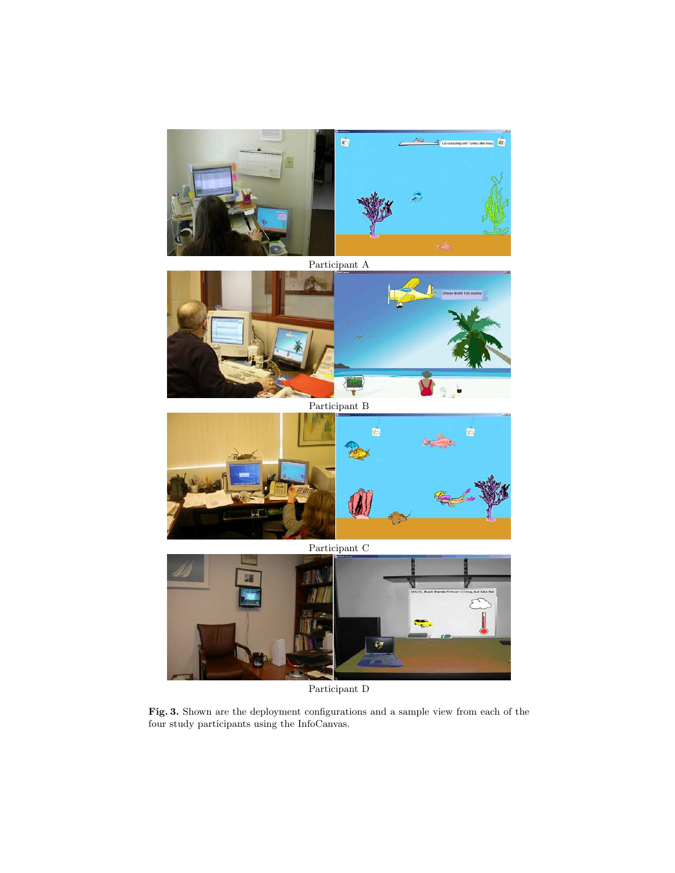

Participant A



Participant B



Participant C



Participant D

Fig. 3. Shown are the deployment configurations and a sample view from each of the four study participants using the InfoCanvas.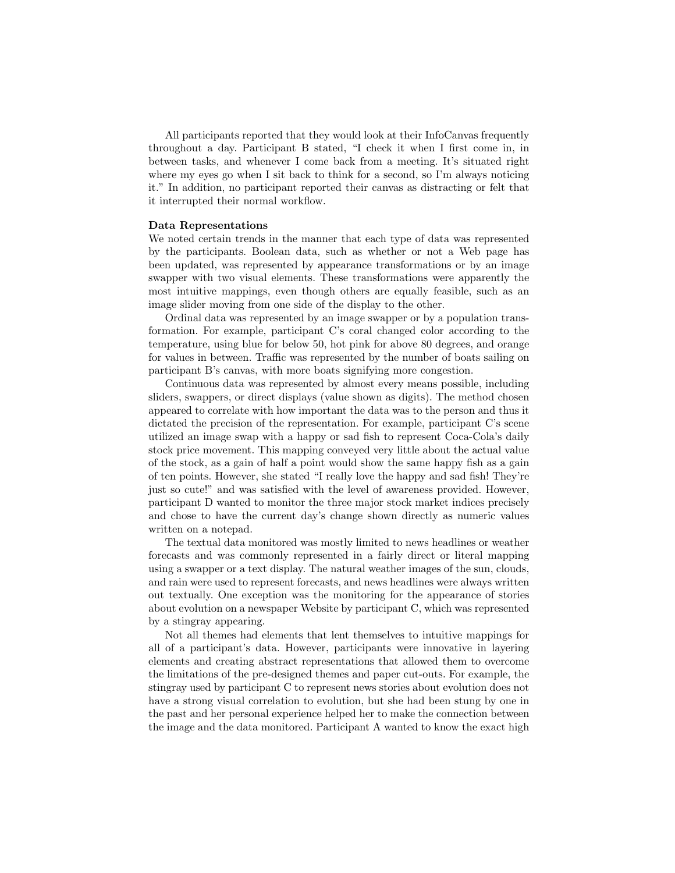All participants reported that they would look at their InfoCanvas frequently throughout a day. Participant B stated, "I check it when I first come in, in between tasks, and whenever I come back from a meeting. It's situated right where my eyes go when I sit back to think for a second, so I'm always noticing it." In addition, no participant reported their canvas as distracting or felt that it interrupted their normal workflow.

#### Data Representations

We noted certain trends in the manner that each type of data was represented by the participants. Boolean data, such as whether or not a Web page has been updated, was represented by appearance transformations or by an image swapper with two visual elements. These transformations were apparently the most intuitive mappings, even though others are equally feasible, such as an image slider moving from one side of the display to the other.

Ordinal data was represented by an image swapper or by a population transformation. For example, participant C's coral changed color according to the temperature, using blue for below 50, hot pink for above 80 degrees, and orange for values in between. Traffic was represented by the number of boats sailing on participant B's canvas, with more boats signifying more congestion.

Continuous data was represented by almost every means possible, including sliders, swappers, or direct displays (value shown as digits). The method chosen appeared to correlate with how important the data was to the person and thus it dictated the precision of the representation. For example, participant C's scene utilized an image swap with a happy or sad fish to represent Coca-Cola's daily stock price movement. This mapping conveyed very little about the actual value of the stock, as a gain of half a point would show the same happy fish as a gain of ten points. However, she stated "I really love the happy and sad fish! They're just so cute!" and was satisfied with the level of awareness provided. However, participant D wanted to monitor the three major stock market indices precisely and chose to have the current day's change shown directly as numeric values written on a notepad.

The textual data monitored was mostly limited to news headlines or weather forecasts and was commonly represented in a fairly direct or literal mapping using a swapper or a text display. The natural weather images of the sun, clouds, and rain were used to represent forecasts, and news headlines were always written out textually. One exception was the monitoring for the appearance of stories about evolution on a newspaper Website by participant C, which was represented by a stingray appearing.

Not all themes had elements that lent themselves to intuitive mappings for all of a participant's data. However, participants were innovative in layering elements and creating abstract representations that allowed them to overcome the limitations of the pre-designed themes and paper cut-outs. For example, the stingray used by participant C to represent news stories about evolution does not have a strong visual correlation to evolution, but she had been stung by one in the past and her personal experience helped her to make the connection between the image and the data monitored. Participant A wanted to know the exact high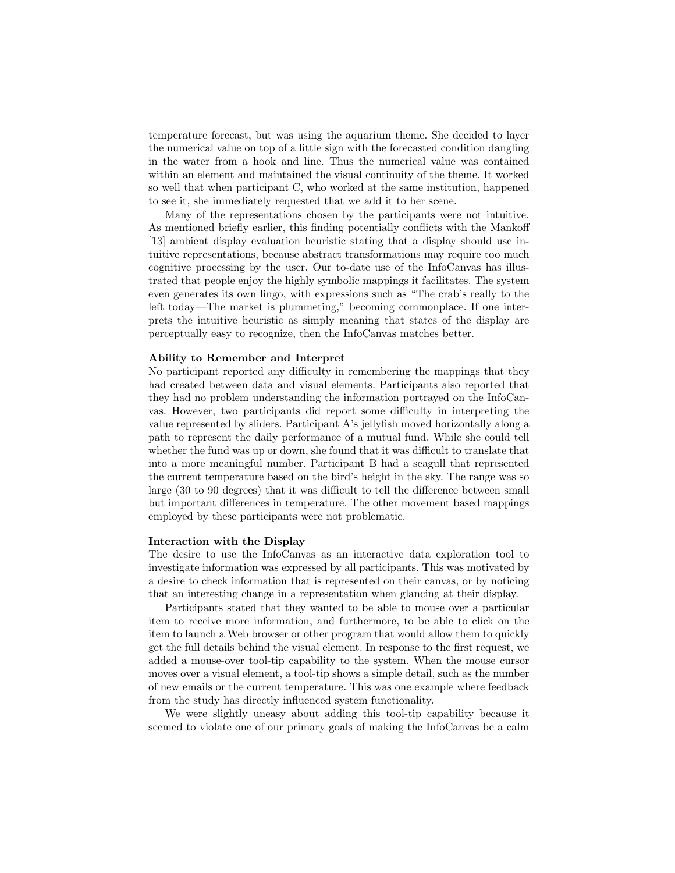temperature forecast, but was using the aquarium theme. She decided to layer the numerical value on top of a little sign with the forecasted condition dangling in the water from a hook and line. Thus the numerical value was contained within an element and maintained the visual continuity of the theme. It worked so well that when participant C, who worked at the same institution, happened to see it, she immediately requested that we add it to her scene.

Many of the representations chosen by the participants were not intuitive. As mentioned briefly earlier, this finding potentially conflicts with the Mankoff [13] ambient display evaluation heuristic stating that a display should use intuitive representations, because abstract transformations may require too much cognitive processing by the user. Our to-date use of the InfoCanvas has illustrated that people enjoy the highly symbolic mappings it facilitates. The system even generates its own lingo, with expressions such as "The crab's really to the left today—The market is plummeting," becoming commonplace. If one interprets the intuitive heuristic as simply meaning that states of the display are perceptually easy to recognize, then the InfoCanvas matches better.

#### Ability to Remember and Interpret

No participant reported any difficulty in remembering the mappings that they had created between data and visual elements. Participants also reported that they had no problem understanding the information portrayed on the InfoCanvas. However, two participants did report some difficulty in interpreting the value represented by sliders. Participant A's jellyfish moved horizontally along a path to represent the daily performance of a mutual fund. While she could tell whether the fund was up or down, she found that it was difficult to translate that into a more meaningful number. Participant B had a seagull that represented the current temperature based on the bird's height in the sky. The range was so large (30 to 90 degrees) that it was difficult to tell the difference between small but important differences in temperature. The other movement based mappings employed by these participants were not problematic.

#### Interaction with the Display

The desire to use the InfoCanvas as an interactive data exploration tool to investigate information was expressed by all participants. This was motivated by a desire to check information that is represented on their canvas, or by noticing that an interesting change in a representation when glancing at their display.

Participants stated that they wanted to be able to mouse over a particular item to receive more information, and furthermore, to be able to click on the item to launch a Web browser or other program that would allow them to quickly get the full details behind the visual element. In response to the first request, we added a mouse-over tool-tip capability to the system. When the mouse cursor moves over a visual element, a tool-tip shows a simple detail, such as the number of new emails or the current temperature. This was one example where feedback from the study has directly influenced system functionality.

We were slightly uneasy about adding this tool-tip capability because it seemed to violate one of our primary goals of making the InfoCanvas be a calm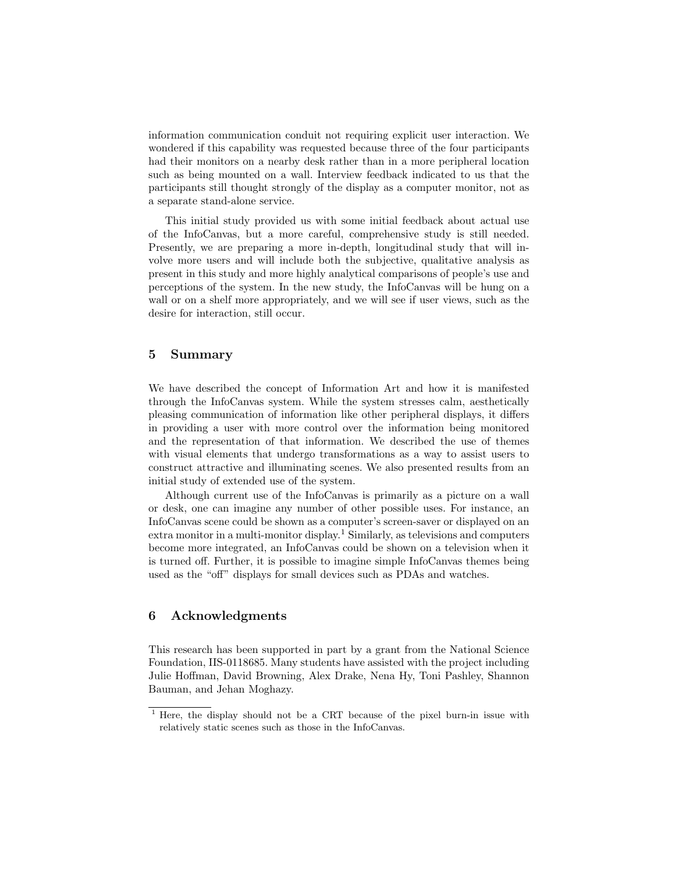information communication conduit not requiring explicit user interaction. We wondered if this capability was requested because three of the four participants had their monitors on a nearby desk rather than in a more peripheral location such as being mounted on a wall. Interview feedback indicated to us that the participants still thought strongly of the display as a computer monitor, not as a separate stand-alone service.

This initial study provided us with some initial feedback about actual use of the InfoCanvas, but a more careful, comprehensive study is still needed. Presently, we are preparing a more in-depth, longitudinal study that will involve more users and will include both the subjective, qualitative analysis as present in this study and more highly analytical comparisons of people's use and perceptions of the system. In the new study, the InfoCanvas will be hung on a wall or on a shelf more appropriately, and we will see if user views, such as the desire for interaction, still occur.

## 5 Summary

We have described the concept of Information Art and how it is manifested through the InfoCanvas system. While the system stresses calm, aesthetically pleasing communication of information like other peripheral displays, it differs in providing a user with more control over the information being monitored and the representation of that information. We described the use of themes with visual elements that undergo transformations as a way to assist users to construct attractive and illuminating scenes. We also presented results from an initial study of extended use of the system.

Although current use of the InfoCanvas is primarily as a picture on a wall or desk, one can imagine any number of other possible uses. For instance, an InfoCanvas scene could be shown as a computer's screen-saver or displayed on an extra monitor in a multi-monitor display. <sup>1</sup> Similarly, as televisions and computers become more integrated, an InfoCanvas could be shown on a television when it is turned off. Further, it is possible to imagine simple InfoCanvas themes being used as the "off" displays for small devices such as PDAs and watches.

### 6 Acknowledgments

This research has been supported in part by a grant from the National Science Foundation, IIS-0118685. Many students have assisted with the project including Julie Hoffman, David Browning, Alex Drake, Nena Hy, Toni Pashley, Shannon Bauman, and Jehan Moghazy.

<sup>1</sup> Here, the display should not be a CRT because of the pixel burn-in issue with relatively static scenes such as those in the InfoCanvas.